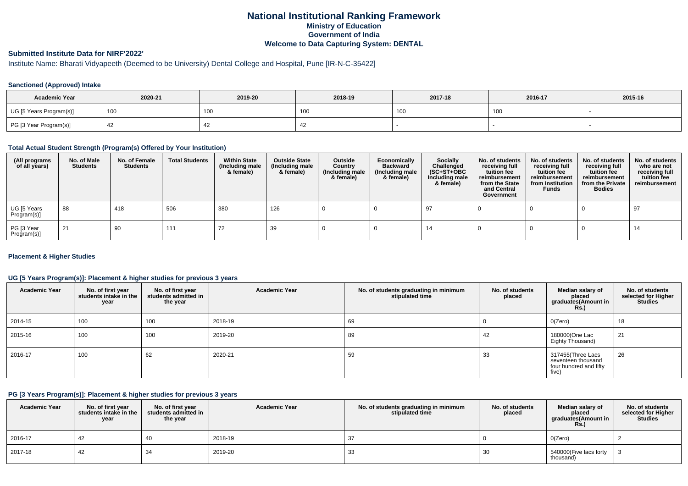# **National Institutional Ranking FrameworkMinistry of Education Government of IndiaWelcome to Data Capturing System: DENTAL**

# **Submitted Institute Data for NIRF'2022'**

# Institute Name: Bharati Vidyapeeth (Deemed to be University) Dental College and Hospital, Pune [IR-N-C-35422]

### **Sanctioned (Approved) Intake**

| <b>Academic Year</b>    | 2020-21 | 2019-20 | 2018-19 | 2017-18 | 2016-17 | 2015-16 |
|-------------------------|---------|---------|---------|---------|---------|---------|
| UG [5 Years Program(s)] | 100     | 100     |         | 100     | 100     |         |
| PG [3 Year Program(s)]  |         |         | 4       |         |         |         |

#### **Total Actual Student Strength (Program(s) Offered by Your Institution)**

| (All programs<br>of all years) | No. of Male<br><b>Students</b> | No. of Female<br><b>Students</b> | <b>Total Students</b> | <b>Within State</b><br>(Including male<br>& female) | <b>Outside State</b><br>(Including male<br>& female) | Outside<br>Country<br>(Including male<br>& female) | Economically<br><b>Backward</b><br>(Including male<br>& female) | <b>Socially</b><br>Challenged<br>$(SC+ST+OBC)$<br>Including male<br>& female) | No. of students<br>receiving full<br>tuition fee<br>reimbursement<br>from the State<br>and Central<br>Government | No. of students<br>receiving full<br>tuition fee<br>reimbursement<br>from Institution<br><b>Funds</b> | No. of students<br>receiving full<br>tuition fee<br>reimbursement<br>from the Private<br><b>Bodies</b> | No. of students<br>who are not<br>receiving full<br>tuition fee<br>reimbursement |
|--------------------------------|--------------------------------|----------------------------------|-----------------------|-----------------------------------------------------|------------------------------------------------------|----------------------------------------------------|-----------------------------------------------------------------|-------------------------------------------------------------------------------|------------------------------------------------------------------------------------------------------------------|-------------------------------------------------------------------------------------------------------|--------------------------------------------------------------------------------------------------------|----------------------------------------------------------------------------------|
| UG [5 Years<br>Program(s)]     | 88                             | 418                              | 506                   | 380                                                 | 126                                                  |                                                    |                                                                 | -97                                                                           |                                                                                                                  |                                                                                                       |                                                                                                        | . 97                                                                             |
| PG [3 Year<br>Program(s)]      | 21                             | 90                               | 111                   | 72                                                  | 39                                                   |                                                    |                                                                 | 14                                                                            |                                                                                                                  |                                                                                                       |                                                                                                        | 14                                                                               |

### **Placement & Higher Studies**

### **UG [5 Years Program(s)]: Placement & higher studies for previous 3 years**

| <b>Academic Year</b> | No. of first year<br>students intake in the<br>year | No. of first year<br>students admitted in<br>the year | <b>Academic Year</b> | No. of students graduating in minimum<br>stipulated time | No. of students<br>placed | Median salary of<br>placed<br>graduates(Amount in<br>Rs.                   | No. of students<br>selected for Higher<br><b>Studies</b> |
|----------------------|-----------------------------------------------------|-------------------------------------------------------|----------------------|----------------------------------------------------------|---------------------------|----------------------------------------------------------------------------|----------------------------------------------------------|
| 2014-15              | 100                                                 | 100                                                   | 2018-19              | 69                                                       |                           | O(Zero)                                                                    | 18                                                       |
| 2015-16              | 100                                                 | 100                                                   | 2019-20              | 89                                                       | 42                        | 180000(One Lac<br>Eighty Thousand)                                         | 21                                                       |
| 2016-17              | 100                                                 | 62                                                    | 2020-21              | 59                                                       | 33                        | 317455(Three Lacs<br>seventeen thousand<br>four hundred and fifty<br>five) | 26                                                       |

### **PG [3 Years Program(s)]: Placement & higher studies for previous 3 years**

| <b>Academic Year</b> | No. of first year<br>students intake in the I<br>year | No. of first vear<br>students admitted in<br>the year | <b>Academic Year</b> | No. of students graduating in minimum<br>stipulated time | No. of students<br>placed | Median salarv of<br>placed<br>graduates(Amount in<br><b>Rs.</b> ) | No. of students<br>selected for Higher<br><b>Studies</b> |
|----------------------|-------------------------------------------------------|-------------------------------------------------------|----------------------|----------------------------------------------------------|---------------------------|-------------------------------------------------------------------|----------------------------------------------------------|
| 2016-17              | 42                                                    | 40                                                    | 2018-19              |                                                          |                           | O(Zero)                                                           |                                                          |
| 2017-18              | 42                                                    | 34                                                    | 2019-20              | 33                                                       | 30                        | 540000(Five lacs forty<br>thousand)                               |                                                          |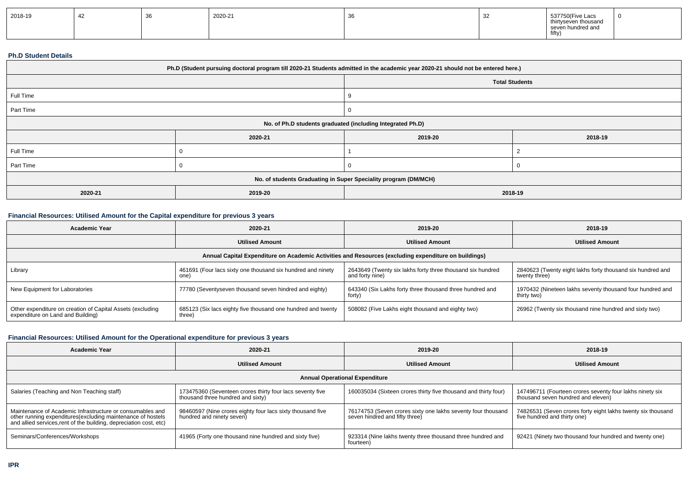| 2018-19 | - 7∠ | ັບ | 2020-21<br>the contract of the contract of | ັບບ | ັ | 537750(Five Lacs<br>thirtyseven thousand<br>seven hundred and |  |
|---------|------|----|--------------------------------------------|-----|---|---------------------------------------------------------------|--|
|         |      |    |                                            |     |   | fifty,                                                        |  |

#### **Ph.D Student Details**

| Ph.D (Student pursuing doctoral program till 2020-21 Students admitted in the academic year 2020-21 should not be entered here.) |         |          |         |  |  |
|----------------------------------------------------------------------------------------------------------------------------------|---------|----------|---------|--|--|
| <b>Total Students</b>                                                                                                            |         |          |         |  |  |
| Full Time                                                                                                                        |         |          |         |  |  |
| Part Time                                                                                                                        |         |          |         |  |  |
| No. of Ph.D students graduated (including Integrated Ph.D)                                                                       |         |          |         |  |  |
|                                                                                                                                  | 2020-21 | 2019-20  | 2018-19 |  |  |
| Full Time                                                                                                                        |         |          |         |  |  |
| Part Time                                                                                                                        |         | $\Omega$ | - 0     |  |  |
| No. of students Graduating in Super Speciality program (DM/MCH)                                                                  |         |          |         |  |  |
| 2020-21                                                                                                                          | 2019-20 | 2018-19  |         |  |  |

# **Financial Resources: Utilised Amount for the Capital expenditure for previous 3 years**

| <b>Academic Year</b>                                                                                 | 2020-21                                                                | 2019-20                                                                       | 2018-19                                                                     |  |  |  |
|------------------------------------------------------------------------------------------------------|------------------------------------------------------------------------|-------------------------------------------------------------------------------|-----------------------------------------------------------------------------|--|--|--|
|                                                                                                      | <b>Utilised Amount</b>                                                 | <b>Utilised Amount</b>                                                        | <b>Utilised Amount</b>                                                      |  |  |  |
| Annual Capital Expenditure on Academic Activities and Resources (excluding expenditure on buildings) |                                                                        |                                                                               |                                                                             |  |  |  |
| Library                                                                                              | 461691 (Four lacs sixty one thousand six hundred and ninety<br>one)    | 2643649 (Twenty six lakhs forty three thousand six hundred<br>and forty nine) | 2840623 (Twenty eight lakhs forty thousand six hundred and<br>twenty three) |  |  |  |
| New Equipment for Laboratories                                                                       | 77780 (Seventyseven thousand seven hindred and eighty)                 | 643340 (Six Lakhs forty three thousand three hundred and<br>forty)            | 1970432 (Nineteen lakhs seventy thousand four hundred and<br>thirty two)    |  |  |  |
| Other expenditure on creation of Capital Assets (excluding<br>expenditure on Land and Building)      | 685123 (Six lacs eighty five thousand one hundred and twenty<br>three) | 508082 (Five Lakhs eight thousand and eighty two)                             | 26962 (Twenty six thousand nine hundred and sixty two)                      |  |  |  |

# **Financial Resources: Utilised Amount for the Operational expenditure for previous 3 years**

| <b>Academic Year</b>                                                                                                                                                                            | 2020-21                                                                                        | 2019-20                                                                                        | 2018-19                                                                                        |  |  |  |  |
|-------------------------------------------------------------------------------------------------------------------------------------------------------------------------------------------------|------------------------------------------------------------------------------------------------|------------------------------------------------------------------------------------------------|------------------------------------------------------------------------------------------------|--|--|--|--|
|                                                                                                                                                                                                 | <b>Utilised Amount</b>                                                                         | <b>Utilised Amount</b>                                                                         | <b>Utilised Amount</b>                                                                         |  |  |  |  |
| <b>Annual Operational Expenditure</b>                                                                                                                                                           |                                                                                                |                                                                                                |                                                                                                |  |  |  |  |
| Salaries (Teaching and Non Teaching staff)                                                                                                                                                      | 173475360 (Seventeen crores thirty four lacs seventy five<br>thousand three hundred and sixty) | 160035034 (Sixteen crores thirty five thousand and thirty four)                                | 147496711 (Fourteen crores seventy four lakhs ninety six<br>thousand seven hundred and eleven) |  |  |  |  |
| Maintenance of Academic Infrastructure or consumables and<br>other running expenditures (excluding maintenance of hostels<br>and allied services, rent of the building, depreciation cost, etc) | 98460597 (Nine crores eighty four lacs sixty thousand five<br>hundred and ninety seven)        | 76174753 (Seven crores sixty one lakhs seventy four thousand<br>seven hindred and fifty three) | 74826531 (Seven crores forty eight lakhs twenty six thousand<br>five hundred and thirty one)   |  |  |  |  |
| Seminars/Conferences/Workshops                                                                                                                                                                  | 41965 (Forty one thousand nine hundred and sixty five)                                         | 923314 (Nine lakhs twenty three thousand three hundred and<br>fourteen)                        | 92421 (Ninety two thousand four hundred and twenty one)                                        |  |  |  |  |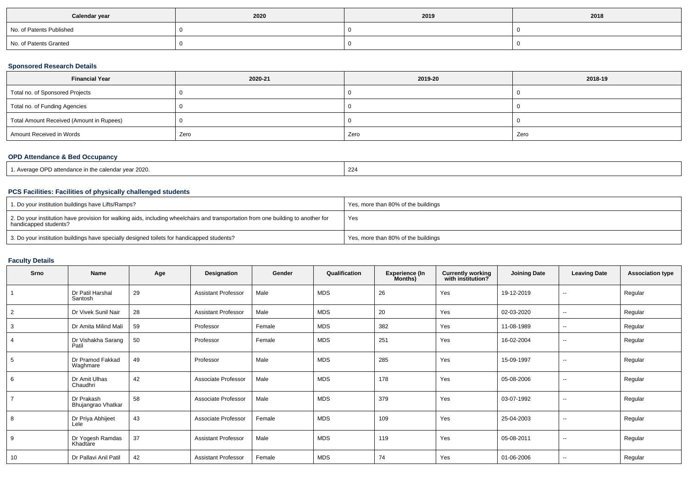| Calendar year            | 2020 | 2019 | 2018 |
|--------------------------|------|------|------|
| No. of Patents Published |      |      |      |
| No. of Patents Granted   |      |      |      |

# **Sponsored Research Details**

| <b>Financial Year</b>                    | 2020-21 | 2019-20 | 2018-19 |
|------------------------------------------|---------|---------|---------|
| Total no. of Sponsored Projects          |         |         |         |
| Total no. of Funding Agencies            |         |         |         |
| Total Amount Received (Amount in Rupees) |         |         |         |
| Amount Received in Words                 | Zero    | Zero    | Zero    |

# **OPD Attendance & Bed Occupancy**

| 1. Average OPD attendance in the calendar year 2020. | 224 |
|------------------------------------------------------|-----|
|------------------------------------------------------|-----|

### **PCS Facilities: Facilities of physically challenged students**

| 1. Do your institution buildings have Lifts/Ramps?                                                                                                         | Yes, more than 80% of the buildings |
|------------------------------------------------------------------------------------------------------------------------------------------------------------|-------------------------------------|
| 2. Do your institution have provision for walking aids, including wheelchairs and transportation from one building to another for<br>handicapped students? | Yes                                 |
| 3. Do your institution buildings have specially designed toilets for handicapped students?                                                                 | Yes, more than 80% of the buildings |

### **Faculty Details**

| Srno           | Name                             | Age | Designation                | Gender | Qualification | <b>Experience (In</b><br>Months) | <b>Currently working</b><br>with institution? | <b>Joining Date</b> | <b>Leaving Date</b>      | <b>Association type</b> |
|----------------|----------------------------------|-----|----------------------------|--------|---------------|----------------------------------|-----------------------------------------------|---------------------|--------------------------|-------------------------|
|                | Dr Patil Harshal<br>Santosh      | 29  | <b>Assistant Professor</b> | Male   | <b>MDS</b>    | 26                               | Yes                                           | 19-12-2019          | $\sim$                   | Regular                 |
| $\overline{2}$ | Dr Vivek Sunil Nair              | 28  | <b>Assistant Professor</b> | Male   | MDS           | 20                               | Yes                                           | 02-03-2020          | $\sim$                   | Regular                 |
| 3              | Dr Amita Milind Mali             | 59  | Professor                  | Female | MDS           | 382                              | Yes                                           | 11-08-1989          | $\overline{\phantom{a}}$ | Regular                 |
| $\overline{4}$ | Dr Vishakha Sarang<br>Patil      | 50  | Professor                  | Female | <b>MDS</b>    | 251                              | Yes                                           | 16-02-2004          | $\sim$                   | Regular                 |
| 5              | Dr Pramod Fakkad<br>Waghmare     | 49  | Professor                  | Male   | <b>MDS</b>    | 285                              | Yes                                           | 15-09-1997          | $\sim$                   | Regular                 |
| 6              | Dr Amit Ulhas<br>Chaudhri        | 42  | Associate Professor        | Male   | <b>MDS</b>    | 178                              | Yes                                           | 05-08-2006          | --                       | Regular                 |
| $\overline{7}$ | Dr Prakash<br>Bhujangrao Vhatkar | 58  | Associate Professor        | Male   | <b>MDS</b>    | 379                              | Yes                                           | 03-07-1992          | $\sim$                   | Regular                 |
| 8              | Dr Priya Abhijeet<br>Lele        | 43  | Associate Professor        | Female | <b>MDS</b>    | 109                              | Yes                                           | 25-04-2003          | $\overline{\phantom{a}}$ | Regular                 |
| 9              | Dr Yogesh Ramdas<br>Khadtare     | 37  | <b>Assistant Professor</b> | Male   | <b>MDS</b>    | 119                              | Yes                                           | 05-08-2011          | $\sim$                   | Regular                 |
| 10             | Dr Pallavi Anil Patil            | 42  | <b>Assistant Professor</b> | Female | <b>MDS</b>    | 74                               | Yes                                           | 01-06-2006          | $\sim$                   | Regular                 |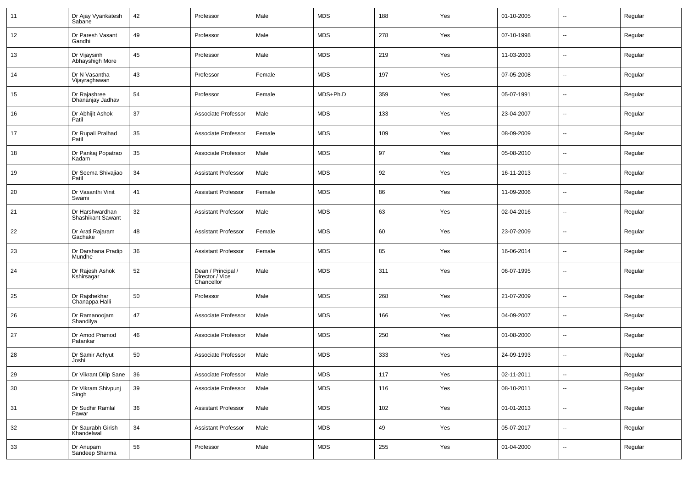| 11     | Dr Ajay Vyankatesh<br>Sabane                | 42     | Professor                                           | Male   | <b>MDS</b> | 188 | Yes | 01-10-2005 | $\mathbf{u}$             | Regular |
|--------|---------------------------------------------|--------|-----------------------------------------------------|--------|------------|-----|-----|------------|--------------------------|---------|
| 12     | Dr Paresh Vasant<br>Gandhi                  | 49     | Professor                                           | Male   | <b>MDS</b> | 278 | Yes | 07-10-1998 | $\sim$                   | Regular |
| 13     | Dr Vijaysinh<br>Abhayshigh More             | 45     | Professor                                           | Male   | <b>MDS</b> | 219 | Yes | 11-03-2003 | $\sim$                   | Regular |
| 14     | Dr N Vasantha<br>Vijayraghawan              | 43     | Professor                                           | Female | <b>MDS</b> | 197 | Yes | 07-05-2008 | $\sim$                   | Regular |
| 15     | Dr Rajashree<br>Dhananjay Jadhav            | 54     | Professor                                           | Female | MDS+Ph.D   | 359 | Yes | 05-07-1991 | $\sim$                   | Regular |
| 16     | Dr Abhijit Ashok<br>Patil                   | 37     | Associate Professor                                 | Male   | <b>MDS</b> | 133 | Yes | 23-04-2007 | $\sim$                   | Regular |
| 17     | Dr Rupali Pralhad<br>Patil                  | 35     | Associate Professor                                 | Female | <b>MDS</b> | 109 | Yes | 08-09-2009 | $\sim$                   | Regular |
| 18     | Dr Pankaj Popatrao<br>Kadam                 | 35     | Associate Professor                                 | Male   | <b>MDS</b> | 97  | Yes | 05-08-2010 | $\sim$                   | Regular |
| 19     | Dr Seema Shivajiao<br>Patil                 | 34     | <b>Assistant Professor</b>                          | Male   | <b>MDS</b> | 92  | Yes | 16-11-2013 | $\sim$                   | Regular |
| 20     | Dr Vasanthi Vinit<br>Swami                  | 41     | <b>Assistant Professor</b>                          | Female | <b>MDS</b> | 86  | Yes | 11-09-2006 | $\sim$                   | Regular |
| 21     | Dr Harshwardhan<br><b>Shashikant Sawant</b> | 32     | <b>Assistant Professor</b>                          | Male   | <b>MDS</b> | 63  | Yes | 02-04-2016 | $\sim$                   | Regular |
| 22     | Dr Arati Rajaram<br>Gachake                 | 48     | <b>Assistant Professor</b>                          | Female | <b>MDS</b> | 60  | Yes | 23-07-2009 | $\sim$                   | Regular |
| 23     | Dr Darshana Pradip<br>Mundhe                | 36     | <b>Assistant Professor</b>                          | Female | <b>MDS</b> | 85  | Yes | 16-06-2014 | $\sim$                   | Regular |
| 24     | Dr Rajesh Ashok<br>Kshirsagar               | 52     | Dean / Principal /<br>Director / Vice<br>Chancellor | Male   | <b>MDS</b> | 311 | Yes | 06-07-1995 | $\overline{\phantom{a}}$ | Regular |
| 25     | Dr Rajshekhar<br>Chanappa Halli             | 50     | Professor                                           | Male   | <b>MDS</b> | 268 | Yes | 21-07-2009 | Ξ.                       | Regular |
| 26     | Dr Ramanoojam<br>Shandilya                  | 47     | Associate Professor                                 | Male   | <b>MDS</b> | 166 | Yes | 04-09-2007 | $\mathbf{u}$             | Regular |
| 27     | Dr Amod Pramod<br>Patankar                  | 46     | Associate Professor                                 | Male   | <b>MDS</b> | 250 | Yes | 01-08-2000 | $\mathbf{u}$             | Regular |
| 28     | Dr Samir Achyut<br>Joshi                    | 50     | Associate Professor                                 | Male   | <b>MDS</b> | 333 | Yes | 24-09-1993 | $\mathbf{u}$             | Regular |
| 29     | Dr Vikrant Dilip Sane                       | $36\,$ | Associate Professor                                 | Male   | <b>MDS</b> | 117 | Yes | 02-11-2011 |                          | Regular |
| 30     | Dr Vikram Shivpunj<br>Singh                 | 39     | Associate Professor                                 | Male   | <b>MDS</b> | 116 | Yes | 08-10-2011 | $\sim$                   | Regular |
| 31     | Dr Sudhir Ramlal<br>Pawar                   | 36     | <b>Assistant Professor</b>                          | Male   | <b>MDS</b> | 102 | Yes | 01-01-2013 | $\sim$                   | Regular |
| $32\,$ | Dr Saurabh Girish<br>Khandelwal             | 34     | <b>Assistant Professor</b>                          | Male   | <b>MDS</b> | 49  | Yes | 05-07-2017 | $\sim$                   | Regular |
| $33\,$ | Dr Anupam<br>Sandeep Sharma                 | 56     | Professor                                           | Male   | <b>MDS</b> | 255 | Yes | 01-04-2000 | $\sim$                   | Regular |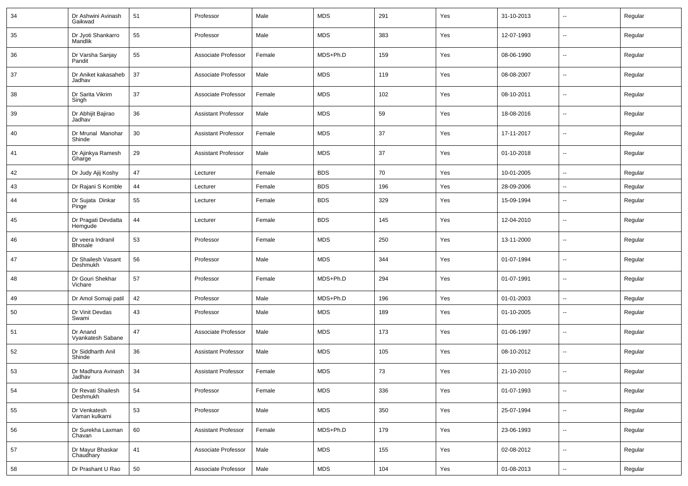| 34 | Dr Ashwini Avinash<br>Gaikwad       | 51 | Professor                  | Male   | <b>MDS</b> | 291 | Yes | 31-10-2013 | $\mathbf{u}$             | Regular |
|----|-------------------------------------|----|----------------------------|--------|------------|-----|-----|------------|--------------------------|---------|
| 35 | Dr Jyoti Shankarro<br>Mandlik       | 55 | Professor                  | Male   | <b>MDS</b> | 383 | Yes | 12-07-1993 | $\sim$                   | Regular |
| 36 | Dr Varsha Sanjay<br>Pandit          | 55 | Associate Professor        | Female | MDS+Ph.D   | 159 | Yes | 08-06-1990 | $\sim$                   | Regular |
| 37 | Dr Aniket kakasaheb<br>Jadhav       | 37 | Associate Professor        | Male   | <b>MDS</b> | 119 | Yes | 08-08-2007 | $\sim$                   | Regular |
| 38 | Dr Sarita Vikrim<br>Singh           | 37 | Associate Professor        | Female | <b>MDS</b> | 102 | Yes | 08-10-2011 | $\sim$                   | Regular |
| 39 | Dr Abhijit Bajirao<br>Jadhav        | 36 | Assistant Professor        | Male   | <b>MDS</b> | 59  | Yes | 18-08-2016 | $\sim$                   | Regular |
| 40 | Dr Mrunal Manohar<br>Shinde         | 30 | Assistant Professor        | Female | <b>MDS</b> | 37  | Yes | 17-11-2017 | $\sim$                   | Regular |
| 41 | Dr Ajinkya Ramesh<br>Gharge         | 29 | Assistant Professor        | Male   | <b>MDS</b> | 37  | Yes | 01-10-2018 | $\sim$                   | Regular |
| 42 | Dr Judy Ajij Koshy                  | 47 | Lecturer                   | Female | <b>BDS</b> | 70  | Yes | 10-01-2005 | $\sim$                   | Regular |
| 43 | Dr Rajani S Komble                  | 44 | Lecturer                   | Female | <b>BDS</b> | 196 | Yes | 28-09-2006 | --                       | Regular |
| 44 | Dr Sujata Dinkar<br>Pinge           | 55 | Lecturer                   | Female | <b>BDS</b> | 329 | Yes | 15-09-1994 | $\overline{\phantom{a}}$ | Regular |
| 45 | Dr Pragati Devdatta<br>Hemgude      | 44 | Lecturer                   | Female | <b>BDS</b> | 145 | Yes | 12-04-2010 | $\mathbf{u}$             | Regular |
| 46 | Dr veera Indranil<br><b>Bhosale</b> | 53 | Professor                  | Female | <b>MDS</b> | 250 | Yes | 13-11-2000 | $\overline{\phantom{a}}$ | Regular |
| 47 | Dr Shailesh Vasant<br>Deshmukh      | 56 | Professor                  | Male   | <b>MDS</b> | 344 | Yes | 01-07-1994 | $\overline{\phantom{a}}$ | Regular |
| 48 | Dr Gouri Shekhar<br>Vichare         | 57 | Professor                  | Female | MDS+Ph.D   | 294 | Yes | 01-07-1991 | $\overline{\phantom{a}}$ | Regular |
| 49 | Dr Amol Somaji patil                | 42 | Professor                  | Male   | MDS+Ph.D   | 196 | Yes | 01-01-2003 | $\mathbf{u}$             | Regular |
| 50 | Dr Vinit Devdas<br>Swami            | 43 | Professor                  | Male   | <b>MDS</b> | 189 | Yes | 01-10-2005 | $\overline{\phantom{a}}$ | Regular |
| 51 | Dr Anand<br>Vyankatesh Sabane       | 47 | Associate Professor        | Male   | <b>MDS</b> | 173 | Yes | 01-06-1997 | --                       | Regular |
| 52 | Dr Siddharth Anil<br>Shinde         | 36 | <b>Assistant Professor</b> | Male   | <b>MDS</b> | 105 | Yes | 08-10-2012 | $-$                      | Regular |
| 53 | Dr Madhura Avinash<br>Jadhav        | 34 | <b>Assistant Professor</b> | Female | <b>MDS</b> | 73  | Yes | 21-10-2010 | $\overline{\phantom{a}}$ | Regular |
| 54 | Dr Revati Shailesh<br>Deshmukh      | 54 | Professor                  | Female | <b>MDS</b> | 336 | Yes | 01-07-1993 | $\mathbf{u}$             | Regular |
| 55 | Dr Venkatesh<br>Vaman kulkarni      | 53 | Professor                  | Male   | <b>MDS</b> | 350 | Yes | 25-07-1994 | $\sim$                   | Regular |
| 56 | Dr Surekha Laxman<br>Chavan         | 60 | <b>Assistant Professor</b> | Female | MDS+Ph.D   | 179 | Yes | 23-06-1993 | $\sim$                   | Regular |
| 57 | Dr Mayur Bhaskar<br>Chaudhary       | 41 | Associate Professor        | Male   | <b>MDS</b> | 155 | Yes | 02-08-2012 | $\sim$                   | Regular |
| 58 | Dr Prashant U Rao                   | 50 | Associate Professor        | Male   | <b>MDS</b> | 104 | Yes | 01-08-2013 | $\sim$                   | Regular |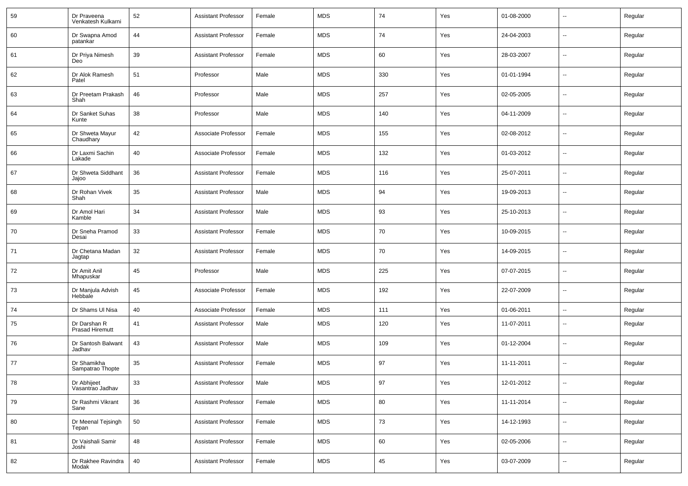| 59 | Dr Praveena<br>Venkatesh Kulkarni      | 52     | <b>Assistant Professor</b> | Female | <b>MDS</b> | 74  | Yes | 01-08-2000 | --                       | Regular |
|----|----------------------------------------|--------|----------------------------|--------|------------|-----|-----|------------|--------------------------|---------|
| 60 | Dr Swapna Amod<br>patankar             | 44     | <b>Assistant Professor</b> | Female | <b>MDS</b> | 74  | Yes | 24-04-2003 | $\sim$                   | Regular |
| 61 | Dr Priya Nimesh<br>Deo                 | 39     | <b>Assistant Professor</b> | Female | <b>MDS</b> | 60  | Yes | 28-03-2007 | $\overline{\phantom{a}}$ | Regular |
| 62 | Dr Alok Ramesh<br>Patel                | 51     | Professor                  | Male   | <b>MDS</b> | 330 | Yes | 01-01-1994 | $\sim$                   | Regular |
| 63 | Dr Preetam Prakash<br>Shah             | 46     | Professor                  | Male   | <b>MDS</b> | 257 | Yes | 02-05-2005 | $\overline{\phantom{a}}$ | Regular |
| 64 | Dr Sanket Suhas<br>Kunte               | 38     | Professor                  | Male   | <b>MDS</b> | 140 | Yes | 04-11-2009 | $\sim$                   | Regular |
| 65 | Dr Shweta Mayur<br>Chaudhary           | 42     | Associate Professor        | Female | <b>MDS</b> | 155 | Yes | 02-08-2012 | $\overline{\phantom{a}}$ | Regular |
| 66 | Dr Laxmi Sachin<br>Lakade              | 40     | Associate Professor        | Female | <b>MDS</b> | 132 | Yes | 01-03-2012 | $\sim$                   | Regular |
| 67 | Dr Shweta Siddhant<br>Jajoo            | 36     | <b>Assistant Professor</b> | Female | <b>MDS</b> | 116 | Yes | 25-07-2011 | $\overline{\phantom{a}}$ | Regular |
| 68 | Dr Rohan Vivek<br>Shah                 | 35     | <b>Assistant Professor</b> | Male   | <b>MDS</b> | 94  | Yes | 19-09-2013 | $\sim$                   | Regular |
| 69 | Dr Amol Hari<br>Kamble                 | 34     | <b>Assistant Professor</b> | Male   | <b>MDS</b> | 93  | Yes | 25-10-2013 | $\overline{\phantom{a}}$ | Regular |
| 70 | Dr Sneha Pramod<br>Desai               | 33     | <b>Assistant Professor</b> | Female | <b>MDS</b> | 70  | Yes | 10-09-2015 | $\sim$                   | Regular |
| 71 | Dr Chetana Madan<br>Jagtap             | 32     | <b>Assistant Professor</b> | Female | <b>MDS</b> | 70  | Yes | 14-09-2015 | $\overline{\phantom{a}}$ | Regular |
| 72 | Dr Amit Anil<br>Mhapuskar              | 45     | Professor                  | Male   | <b>MDS</b> | 225 | Yes | 07-07-2015 | $\sim$                   | Regular |
| 73 | Dr Manjula Advish<br>Hebbale           | 45     | Associate Professor        | Female | <b>MDS</b> | 192 | Yes | 22-07-2009 | $\overline{\phantom{a}}$ | Regular |
| 74 | Dr Shams UI Nisa                       | 40     | Associate Professor        | Female | <b>MDS</b> | 111 | Yes | 01-06-2011 | $\sim$                   | Regular |
| 75 | Dr Darshan R<br><b>Prasad Hiremutt</b> | 41     | <b>Assistant Professor</b> | Male   | <b>MDS</b> | 120 | Yes | 11-07-2011 | --                       | Regular |
| 76 | Dr Santosh Balwant<br>Jadhav           | 43     | <b>Assistant Professor</b> | Male   | <b>MDS</b> | 109 | Yes | 01-12-2004 | --                       | Regular |
| 77 | Dr Shamikha<br>Sampatrao Thopte        | 35     | <b>Assistant Professor</b> | Female | <b>MDS</b> | 97  | Yes | 11-11-2011 | --                       | Regular |
| 78 | Dr Abhijeet<br>Vasantrao Jadhav        | 33     | <b>Assistant Professor</b> | Male   | <b>MDS</b> | 97  | Yes | 12-01-2012 | --                       | Regular |
| 79 | Dr Rashmi Vikrant<br>Sane              | 36     | <b>Assistant Professor</b> | Female | <b>MDS</b> | 80  | Yes | 11-11-2014 | $\overline{\phantom{a}}$ | Regular |
| 80 | Dr Meenal Tejsingh<br>Tepan            | $50\,$ | <b>Assistant Professor</b> | Female | <b>MDS</b> | 73  | Yes | 14-12-1993 | Ξ.                       | Regular |
| 81 | Dr Vaishali Samir<br>Joshi             | 48     | <b>Assistant Professor</b> | Female | <b>MDS</b> | 60  | Yes | 02-05-2006 | Ξ.                       | Regular |
| 82 | Dr Rakhee Ravindra<br>Modak            | $40\,$ | <b>Assistant Professor</b> | Female | <b>MDS</b> | 45  | Yes | 03-07-2009 | --                       | Regular |